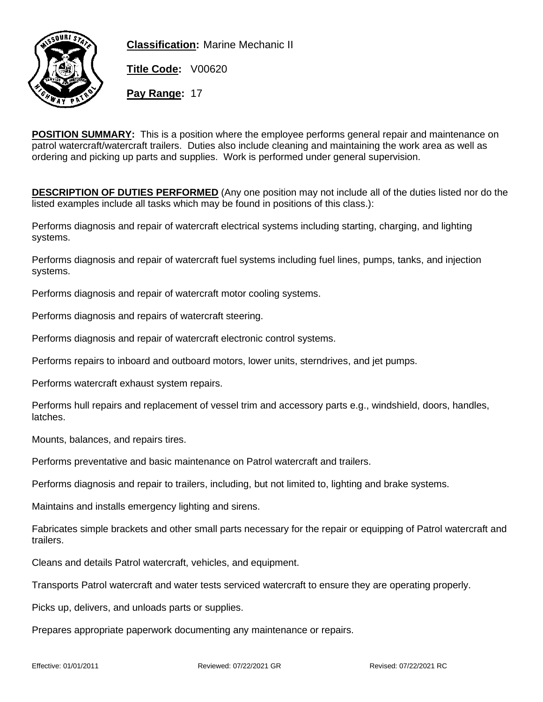

**Classification:** Marine Mechanic II

**Title Code:** V00620

**Pay Range:** 17

**POSITION SUMMARY:** This is a position where the employee performs general repair and maintenance on patrol watercraft/watercraft trailers. Duties also include cleaning and maintaining the work area as well as ordering and picking up parts and supplies. Work is performed under general supervision.

**DESCRIPTION OF DUTIES PERFORMED** (Any one position may not include all of the duties listed nor do the listed examples include all tasks which may be found in positions of this class.):

Performs diagnosis and repair of watercraft electrical systems including starting, charging, and lighting systems.

Performs diagnosis and repair of watercraft fuel systems including fuel lines, pumps, tanks, and injection systems.

Performs diagnosis and repair of watercraft motor cooling systems.

Performs diagnosis and repairs of watercraft steering.

Performs diagnosis and repair of watercraft electronic control systems.

Performs repairs to inboard and outboard motors, lower units, sterndrives, and jet pumps.

Performs watercraft exhaust system repairs.

Performs hull repairs and replacement of vessel trim and accessory parts e.g., windshield, doors, handles, latches.

Mounts, balances, and repairs tires.

Performs preventative and basic maintenance on Patrol watercraft and trailers.

Performs diagnosis and repair to trailers, including, but not limited to, lighting and brake systems.

Maintains and installs emergency lighting and sirens.

Fabricates simple brackets and other small parts necessary for the repair or equipping of Patrol watercraft and trailers.

Cleans and details Patrol watercraft, vehicles, and equipment.

Transports Patrol watercraft and water tests serviced watercraft to ensure they are operating properly.

Picks up, delivers, and unloads parts or supplies.

Prepares appropriate paperwork documenting any maintenance or repairs.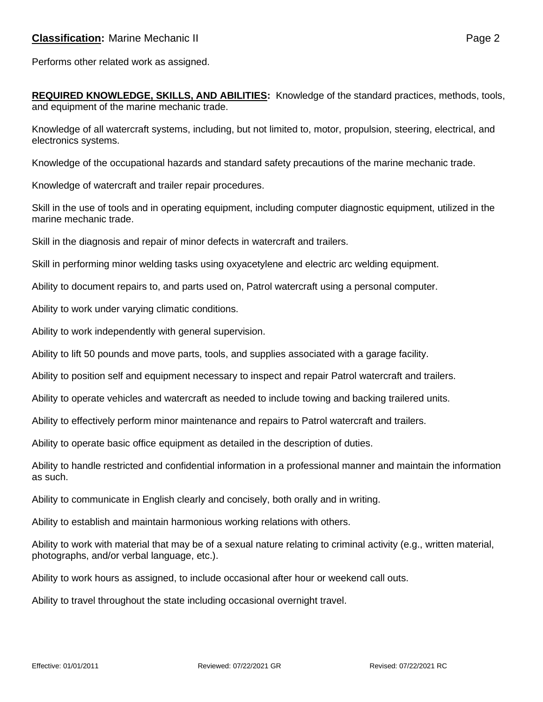**REQUIRED KNOWLEDGE, SKILLS, AND ABILITIES:** Knowledge of the standard practices, methods, tools, and equipment of the marine mechanic trade.

Knowledge of all watercraft systems, including, but not limited to, motor, propulsion, steering, electrical, and electronics systems.

Knowledge of the occupational hazards and standard safety precautions of the marine mechanic trade.

Knowledge of watercraft and trailer repair procedures.

Skill in the use of tools and in operating equipment, including computer diagnostic equipment, utilized in the marine mechanic trade.

Skill in the diagnosis and repair of minor defects in watercraft and trailers.

Skill in performing minor welding tasks using oxyacetylene and electric arc welding equipment.

Ability to document repairs to, and parts used on, Patrol watercraft using a personal computer.

Ability to work under varying climatic conditions.

Ability to work independently with general supervision.

Ability to lift 50 pounds and move parts, tools, and supplies associated with a garage facility.

Ability to position self and equipment necessary to inspect and repair Patrol watercraft and trailers.

Ability to operate vehicles and watercraft as needed to include towing and backing trailered units.

Ability to effectively perform minor maintenance and repairs to Patrol watercraft and trailers.

Ability to operate basic office equipment as detailed in the description of duties.

Ability to handle restricted and confidential information in a professional manner and maintain the information as such.

Ability to communicate in English clearly and concisely, both orally and in writing.

Ability to establish and maintain harmonious working relations with others.

Ability to work with material that may be of a sexual nature relating to criminal activity (e.g., written material, photographs, and/or verbal language, etc.).

Ability to work hours as assigned, to include occasional after hour or weekend call outs.

Ability to travel throughout the state including occasional overnight travel.